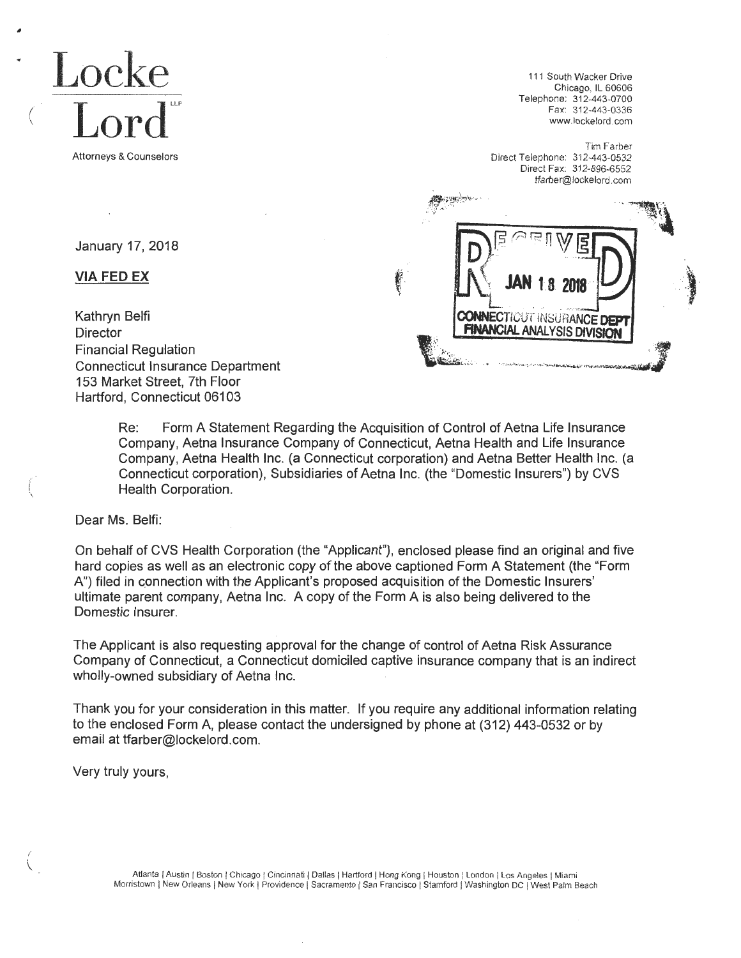

January 17, 2018

**VIA FED EX** 

111 South Wacker Drive Chicago, IL 60606 Telephone: 312-443-0700 Fax: 312-443-0336 www.lockelord.com

Tim Farber Direct Telephone: 312-443-0532 Direct Fax: 312-896-6552 tfarber@lockelord.com



Kathryn Belfi **Director** Financial Regulation Connecticut Insurance Department 153 Market Street, 7th Floor Hartford, Connecticut 06103

> Re: Form A Statement Regarding the Acquisition of Control of Aetna Life Insurance Company, Aetna Insurance Company of Connecticut, Aetna Health and Life Insurance Company, Aetna Health Inc. (a Connecticut corporation) and Aetna Better Health Inc. (a Connecticut corporation), Subsidiaries of Aetna Inc. (the "Domestic Insurers") by CVS Health Corporation.

Dear Ms. Belfi:

On behalf of CVS Health Corporation (the "Applicant"), enclosed please find an original and five hard copies as well as an electronic copy of the above captioned Form A Statement (the "Form A") filed in connection with the Applicant's proposed acquisition of the Domestic Insurers' ultimate parent company, Aetna Inc. A copy of the Form A is also being delivered to the Domestic Insurer.

The Applicant is also requesting approval for the change of control of Aetna Risk Assurance Company of Connecticut, a Connecticut domiciled captive insurance company that is an indirect wholly-owned subsidiary of Aetna Inc.

Thank you for your consideration in this matter. If you require any additional information relating to the enclosed Form A, please contact the undersigned by phone at (312) 443-0532 or by email at tfarber@lockelord.com.

Very truly yours,